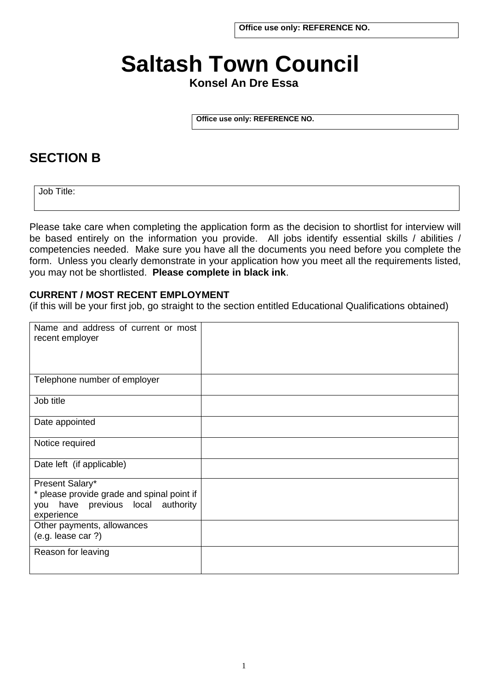# **Saltash Town Council**

# **Konsel An Dre Essa**

**Office use only: REFERENCE NO.** 

# **SECTION B**

Job Title:

Please take care when completing the application form as the decision to shortlist for interview will be based entirely on the information you provide. All jobs identify essential skills / abilities / competencies needed. Make sure you have all the documents you need before you complete the form. Unless you clearly demonstrate in your application how you meet all the requirements listed, you may not be shortlisted. **Please complete in black ink**.

#### **CURRENT / MOST RECENT EMPLOYMENT**

(if this will be your first job, go straight to the section entitled Educational Qualifications obtained)

| Name and address of current or most<br>recent employer |  |
|--------------------------------------------------------|--|
| Telephone number of employer                           |  |
| Job title                                              |  |
| Date appointed                                         |  |
| Notice required                                        |  |
| Date left (if applicable)                              |  |
| Present Salary*                                        |  |
| * please provide grade and spinal point if             |  |
| have previous local authority<br>you<br>experience     |  |
| Other payments, allowances                             |  |
| (e.g. lease car?)                                      |  |
| Reason for leaving                                     |  |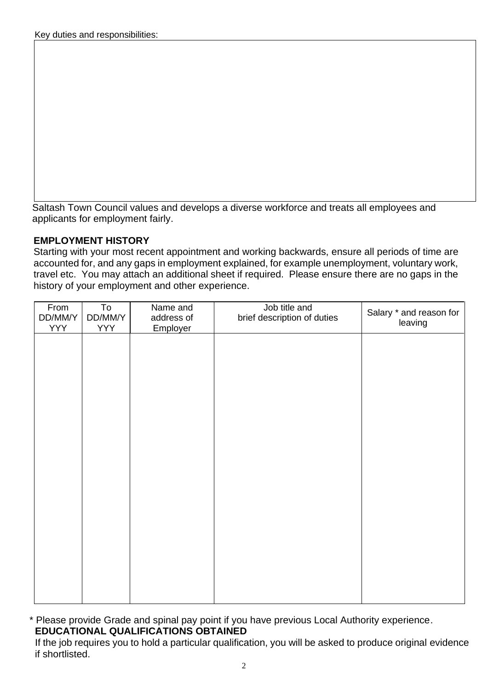Saltash Town Council values and develops a diverse workforce and treats all employees and applicants for employment fairly.

### **EMPLOYMENT HISTORY**

Starting with your most recent appointment and working backwards, ensure all periods of time are accounted for, and any gaps in employment explained, for example unemployment, voluntary work, travel etc. You may attach an additional sheet if required. Please ensure there are no gaps in the history of your employment and other experience.

| From<br>DD/MM/Y<br><b>YYY</b> | To<br>DD/MM/Y<br><b>YYY</b> | Name and<br>address of<br>Employer | Job title and<br>brief description of duties | Salary * and reason for<br>leaving |
|-------------------------------|-----------------------------|------------------------------------|----------------------------------------------|------------------------------------|
|                               |                             |                                    |                                              |                                    |
|                               |                             |                                    |                                              |                                    |
|                               |                             |                                    |                                              |                                    |
|                               |                             |                                    |                                              |                                    |
|                               |                             |                                    |                                              |                                    |
|                               |                             |                                    |                                              |                                    |
|                               |                             |                                    |                                              |                                    |
|                               |                             |                                    |                                              |                                    |
|                               |                             |                                    |                                              |                                    |
|                               |                             |                                    |                                              |                                    |

\* Please provide Grade and spinal pay point if you have previous Local Authority experience.  **EDUCATIONAL QUALIFICATIONS OBTAINED** 

If the job requires you to hold a particular qualification, you will be asked to produce original evidence if shortlisted.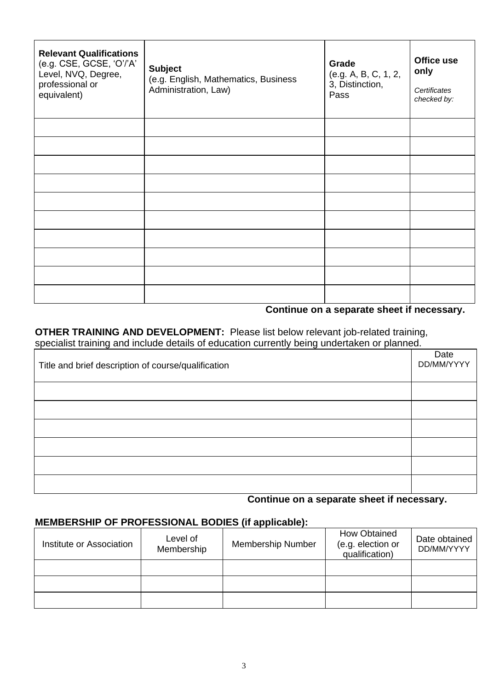| <b>Relevant Qualifications</b><br>(e.g. CSE, GCSE, 'O'/'A'<br>Level, NVQ, Degree,<br>professional or<br>equivalent) | <b>Subject</b><br>(e.g. English, Mathematics, Business<br>Administration, Law) | Grade<br>(e.g. A, B, C, 1, 2,<br>3, Distinction,<br>Pass | Office use<br>only<br>Certificates<br>checked by: |
|---------------------------------------------------------------------------------------------------------------------|--------------------------------------------------------------------------------|----------------------------------------------------------|---------------------------------------------------|
|                                                                                                                     |                                                                                |                                                          |                                                   |
|                                                                                                                     |                                                                                |                                                          |                                                   |
|                                                                                                                     |                                                                                |                                                          |                                                   |
|                                                                                                                     |                                                                                |                                                          |                                                   |
|                                                                                                                     |                                                                                |                                                          |                                                   |
|                                                                                                                     |                                                                                |                                                          |                                                   |
|                                                                                                                     |                                                                                |                                                          |                                                   |
|                                                                                                                     |                                                                                |                                                          |                                                   |
|                                                                                                                     |                                                                                |                                                          |                                                   |
|                                                                                                                     |                                                                                |                                                          |                                                   |

## **Continue on a separate sheet if necessary.**

 **OTHER TRAINING AND DEVELOPMENT:** Please list below relevant job-related training, specialist training and include details of education currently being undertaken or planned.

| Title and brief description of course/qualification |  |  |
|-----------------------------------------------------|--|--|
|                                                     |  |  |
|                                                     |  |  |
|                                                     |  |  |
|                                                     |  |  |
|                                                     |  |  |
|                                                     |  |  |

#### **Continue on a separate sheet if necessary.**

#### **MEMBERSHIP OF PROFESSIONAL BODIES (if applicable):**

| Institute or Association | Level of<br>Membership | <b>Membership Number</b> | <b>How Obtained</b><br>(e.g. election or<br>qualification) | Date obtained<br>DD/MM/YYYY |
|--------------------------|------------------------|--------------------------|------------------------------------------------------------|-----------------------------|
|                          |                        |                          |                                                            |                             |
|                          |                        |                          |                                                            |                             |
|                          |                        |                          |                                                            |                             |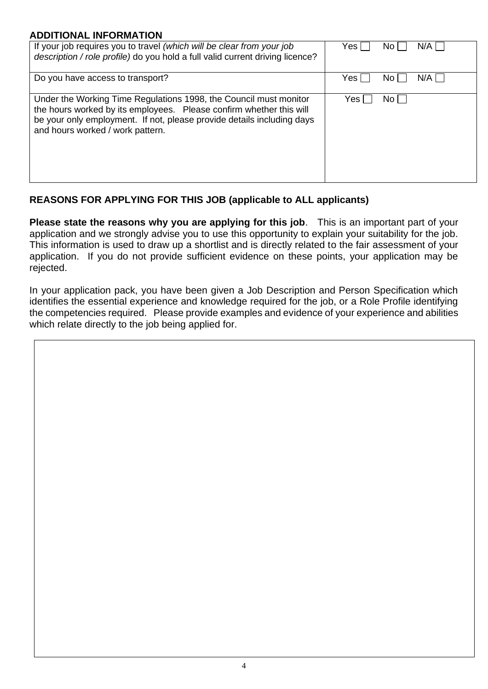#### **ADDITIONAL INFORMATION**

| If your job requires you to travel (which will be clear from your job<br>description / role profile) do you hold a full valid current driving licence?                                                                                                 | N/A<br>Yes I<br>No. |
|--------------------------------------------------------------------------------------------------------------------------------------------------------------------------------------------------------------------------------------------------------|---------------------|
| Do you have access to transport?                                                                                                                                                                                                                       | N/A<br>Yes l<br>No. |
| Under the Working Time Regulations 1998, the Council must monitor<br>the hours worked by its employees. Please confirm whether this will<br>be your only employment. If not, please provide details including days<br>and hours worked / work pattern. | No l<br>Yes         |

# **REASONS FOR APPLYING FOR THIS JOB (applicable to ALL applicants)**

**Please state the reasons why you are applying for this job**. This is an important part of your application and we strongly advise you to use this opportunity to explain your suitability for the job. This information is used to draw up a shortlist and is directly related to the fair assessment of your application. If you do not provide sufficient evidence on these points, your application may be rejected.

In your application pack, you have been given a Job Description and Person Specification which identifies the essential experience and knowledge required for the job, or a Role Profile identifying the competencies required. Please provide examples and evidence of your experience and abilities which relate directly to the job being applied for.